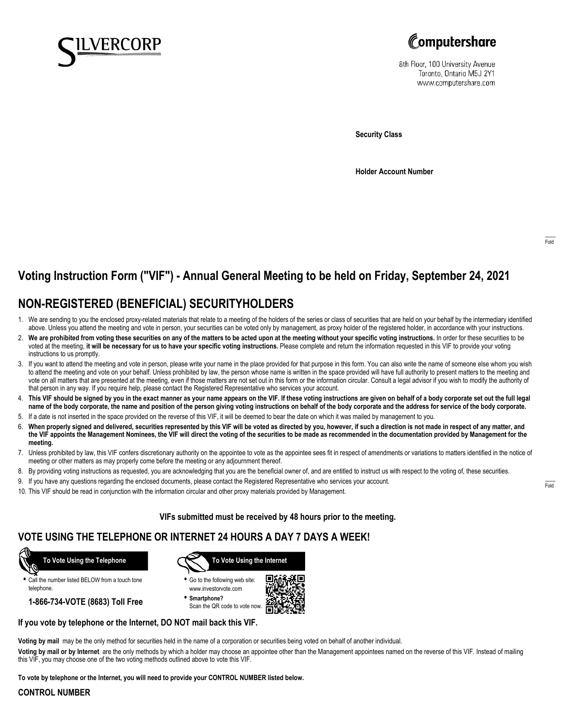



8th Floor, 100 University Avenue Toronto, Ontario M5J 2Y1 www.computershare.com

**Security Class**

**Holder Account Number**

# **Voting Instruction Form ("VIF") - Annual General Meeting to be held on Friday, September 24, 2021**

# **NON-REGISTERED (BENEFICIAL) SECURITYHOLDERS**

- 1. We are sending to you the enclosed proxy-related materials that relate to a meeting of the holders of the series or class of securities that are held on your behalf by the intermediary identified above. Unless you attend the meeting and vote in person, your securities can be voted only by management, as proxy holder of the registered holder, in accordance with your instructions.
- 2. **We are prohibited from voting these securities on any of the matters to be acted upon at the meeting without your specific voting instructions.** In order for these securities to be voted at the meeting, **it will be necessary for us to have your specific voting instructions.** Please complete and return the information requested in this VIF to provide your voting instructions to us promptly.
- 3. If you want to attend the meeting and vote in person, please write your name in the place provided for that purpose in this form. You can also write the name of someone else whom you wish to attend the meeting and vote on your behalf. Unless prohibited by law, the person whose name is written in the space provided will have full authority to present matters to the meeting and vote on all matters that are presented at the meeting, even if those matters are not set out in this form or the information circular. Consult a legal advisor if you wish to modify the authority of that person in any way. If you require help, please contact the Registered Representative who services your account.
- 4. **This VIF should be signed by you in the exact manner as your name appears on the VIF. If these voting instructions are given on behalf of a body corporate set out the full legal name of the body corporate, the name and position of the person giving voting instructions on behalf of the body corporate and the address for service of the body corporate.**
- 5. If a date is not inserted in the space provided on the reverse of this VIF, it will be deemed to bear the date on which it was mailed by management to you.
- 6. **When properly signed and delivered, securities represented by this VIF will be voted as directed by you, however, if such a direction is not made in respect of any matter, and the VIF appoints the Management Nominees, the VIF will direct the voting of the securities to be made as recommended in the documentation provided by Management for the meeting.**
- 7. Unless prohibited by law, this VIF confers discretionary authority on the appointee to vote as the appointee sees fit in respect of amendments or variations to matters identified in the notice of meeting or other matters as may properly come before the meeting or any adjournment thereof.
- 8. By providing voting instructions as requested, you are acknowledging that you are the beneficial owner of, and are entitled to instruct us with respect to the voting of, these securities.
- 9. If you have any questions regarding the enclosed documents, please contact the Registered Representative who services your account.
- 10. This VIF should be read in conjunction with the information circular and other proxy materials provided by Management.

## **VIFs submitted must be received by 48 hours prior to the meeting.**

## **VOTE USING THE TELEPHONE OR INTERNET 24 HOURS A DAY 7 DAYS A WEEK!**



**•** Call the number listed BELOW from a touch tone telephone.

**1-866-734-VOTE (8683) Toll Free**



- **•** Go to the following web site: [www.investorvote.com](http://www.investorvote.com)
- **• Smartphone?** Scan the QR code to vote now.



## **If you vote by telephone or the Internet, DO NOT mail back this VIF.**

**Voting by mail** may be the only method for securities held in the name of a corporation or securities being voted on behalf of another individual.

**Voting by mail or by Internet** are the only methods by which a holder may choose an appointee other than the Management appointees named on the reverse of this VIF. Instead of mailing this VIF, you may choose one of the two voting methods outlined above to vote this VIF.

**To vote by telephone or the Internet, you will need to provide your CONTROL NUMBER listed below.**

## **CONTROL NUMBER**